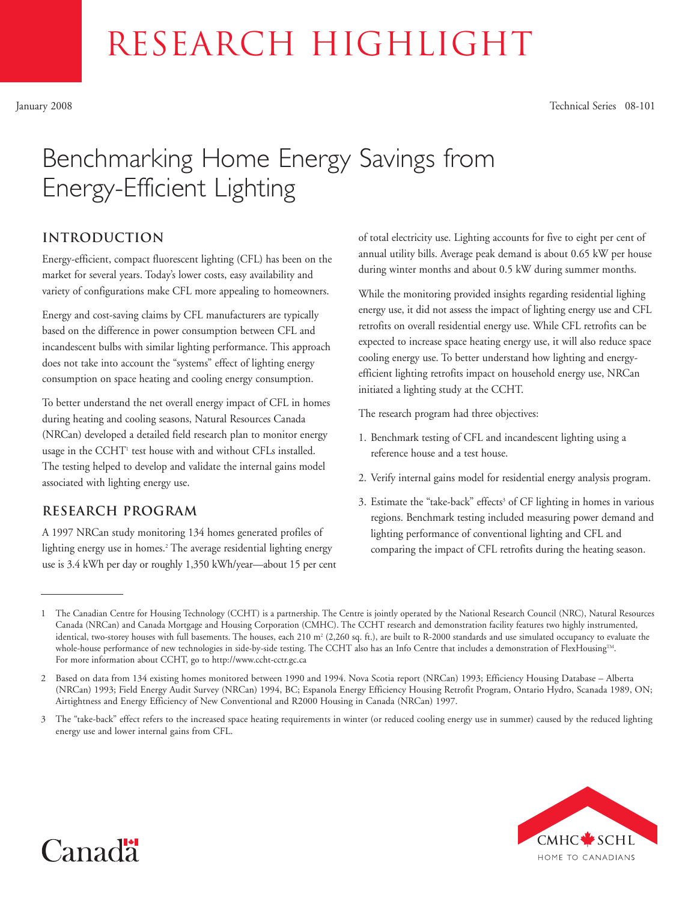# RESEARCH HIGHLIGHT

January 2008 Technical Series 08-101

# Benchmarking Home Energy Savings from Energy-Efficient Lighting

# **introduction**

Energy-efficient, compact fluorescent lighting (CFL) has been on the market for several years. Today's lower costs, easy availability and variety of configurations make CFL more appealing to homeowners.

Energy and cost-saving claims by CFL manufacturers are typically based on the difference in power consumption between CFL and incandescent bulbs with similar lighting performance. This approach does not take into account the "systems" effect of lighting energy consumption on space heating and cooling energy consumption.

To better understand the net overall energy impact of CFL in homes during heating and cooling seasons, Natural Resources Canada (NRCan) developed a detailed field research plan to monitor energy usage in the CCHT<sup>1</sup> test house with and without CFLs installed. The testing helped to develop and validate the internal gains model associated with lighting energy use.

# **Research Program**

A 1997 NRCan study monitoring 134 homes generated profiles of lighting energy use in homes.<sup>2</sup> The average residential lighting energy use is 3.4 kWh per day or roughly 1,350 kWh/year—about 15 per cent of total electricity use. Lighting accounts for five to eight per cent of annual utility bills. Average peak demand is about 0.65 kW per house during winter months and about 0.5 kW during summer months.

While the monitoring provided insights regarding residential lighing energy use, it did not assess the impact of lighting energy use and CFL retrofits on overall residential energy use. While CFL retrofits can be expected to increase space heating energy use, it will also reduce space cooling energy use. To better understand how lighting and energyefficient lighting retrofits impact on household energy use, NRCan initiated a lighting study at the CCHT.

The research program had three objectives:

- 1. Benchmark testing of CFL and incandescent lighting using a reference house and a test house.
- 2. Verify internal gains model for residential energy analysis program.
- 3. Estimate the "take-back" effects<sup>3</sup> of CF lighting in homes in various regions. Benchmark testing included measuring power demand and lighting performance of conventional lighting and CFL and comparing the impact of CFL retrofits during the heating season.

<sup>3</sup> The "take-back" effect refers to the increased space heating requirements in winter (or reduced cooling energy use in summer) caused by the reduced lighting energy use and lower internal gains from CFL.





<sup>1</sup> The Canadian Centre for Housing Technology (CCHT) is a partnership. The Centre is jointly operated by the National Research Council (NRC), Natural Resources Canada (NRCan) and Canada Mortgage and Housing Corporation (CMHC). The CCHT research and demonstration facility features two highly instrumented, identical, two-storey houses with full basements. The houses, each 210 m<sup>2</sup> (2,260 sq. ft.), are built to R-2000 standards and use simulated occupancy to evaluate the whole-house performance of new technologies in side-by-side testing. The CCHT also has an Info Centre that includes a demonstration of FlexHousing™. For more information about CCHT, go to http://www.ccht-cctr.gc.ca

<sup>2</sup> Based on data from 134 existing homes monitored between 1990 and 1994. Nova Scotia report (NRCan) 1993; Efficiency Housing Database – Alberta (NRCan) 1993; Field Energy Audit Survey (NRCan) 1994, BC; Espanola Energy Efficiency Housing Retrofit Program, Ontario Hydro, Scanada 1989, ON; Airtightness and Energy Efficiency of New Conventional and R2000 Housing in Canada (NRCan) 1997.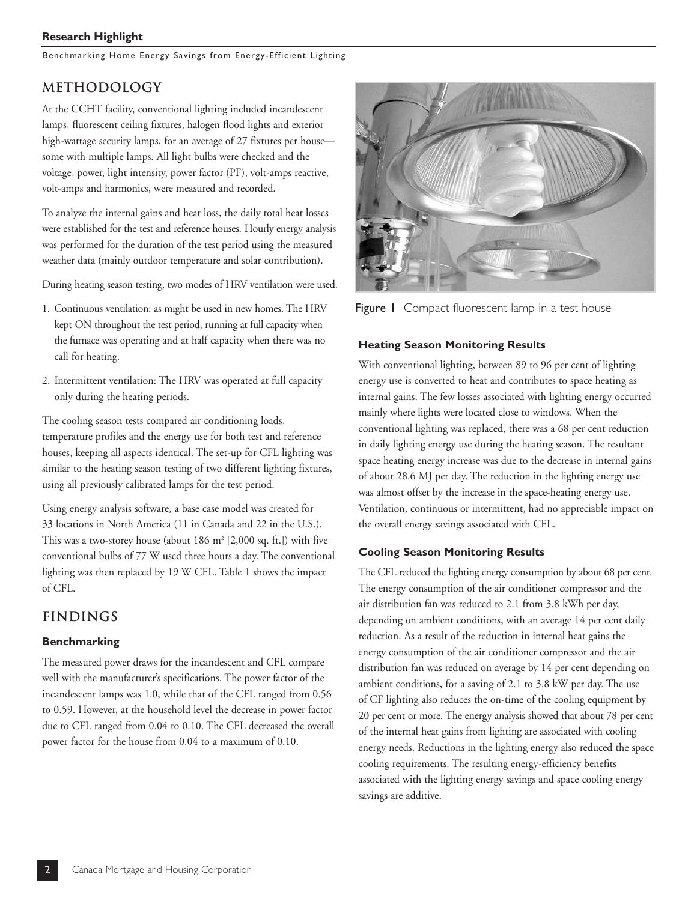#### **Research Highlight**

Benchmarking Home Energy Savings from Energy-Efficient Lighting

# **Methodology**

At the CCHT facility, conventional lighting included incandescent lamps, fluorescent ceiling fixtures, halogen flood lights and exterior high-wattage security lamps, for an average of 27 fixtures per house some with multiple lamps. All light bulbs were checked and the voltage, power, light intensity, power factor (PF), volt-amps reactive, volt-amps and harmonics, were measured and recorded.

To analyze the internal gains and heat loss, the daily total heat losses were established for the test and reference houses. Hourly energy analysis was performed for the duration of the test period using the measured weather data (mainly outdoor temperature and solar contribution).

During heating season testing, two modes of HRV ventilation were used.

- 1. Continuous ventilation: as might be used in new homes. The HRV kept ON throughout the test period, running at full capacity when the furnace was operating and at half capacity when there was no call for heating.
- 2. Intermittent ventilation: The HRV was operated at full capacity only during the heating periods.

The cooling season tests compared air conditioning loads, temperature profiles and the energy use for both test and reference houses, keeping all aspects identical. The set-up for CFL lighting was similar to the heating season testing of two different lighting fixtures, using all previously calibrated lamps for the test period.

Using energy analysis software, a base case model was created for 33 locations in North America (11 in Canada and 22 in the U.S.). This was a two-storey house (about  $186$  m<sup>2</sup> [2,000 sq. ft.]) with five conventional bulbs of 77 W used three hours a day. The conventional lighting was then replaced by 19 W CFL. Table 1 shows the impact of CFL.

### **Findings**

#### **Benchmarking**

The measured power draws for the incandescent and CFL compare well with the manufacturer's specifications. The power factor of the incandescent lamps was 1.0, while that of the CFL ranged from 0.56 to 0.59. However, at the household level the decrease in power factor due to CFL ranged from 0.04 to 0.10. The CFL decreased the overall power factor for the house from 0.04 to a maximum of 0.10.



Figure I Compact fluorescent lamp in a test house

#### **Heating Season Monitoring Results**

With conventional lighting, between 89 to 96 per cent of lighting energy use is converted to heat and contributes to space heating as internal gains. The few losses associated with lighting energy occurred mainly where lights were located close to windows. When the conventional lighting was replaced, there was a 68 per cent reduction in daily lighting energy use during the heating season. The resultant space heating energy increase was due to the decrease in internal gains of about 28.6 MJ per day. The reduction in the lighting energy use was almost offset by the increase in the space-heating energy use. Ventilation, continuous or intermittent, had no appreciable impact on the overall energy savings associated with CFL.

#### **Cooling Season Monitoring Results**

The CFL reduced the lighting energy consumption by about 68 per cent. The energy consumption of the air conditioner compressor and the air distribution fan was reduced to 2.1 from 3.8 kWh per day, depending on ambient conditions, with an average 14 per cent daily reduction. As a result of the reduction in internal heat gains the energy consumption of the air conditioner compressor and the air distribution fan was reduced on average by 14 per cent depending on ambient conditions, for a saving of 2.1 to 3.8 kW per day. The use of CF lighting also reduces the on-time of the cooling equipment by 20 per cent or more. The energy analysis showed that about 78 per cent of the internal heat gains from lighting are associated with cooling energy needs. Reductions in the lighting energy also reduced the space cooling requirements. The resulting energy-efficiency benefits associated with the lighting energy savings and space cooling energy savings are additive.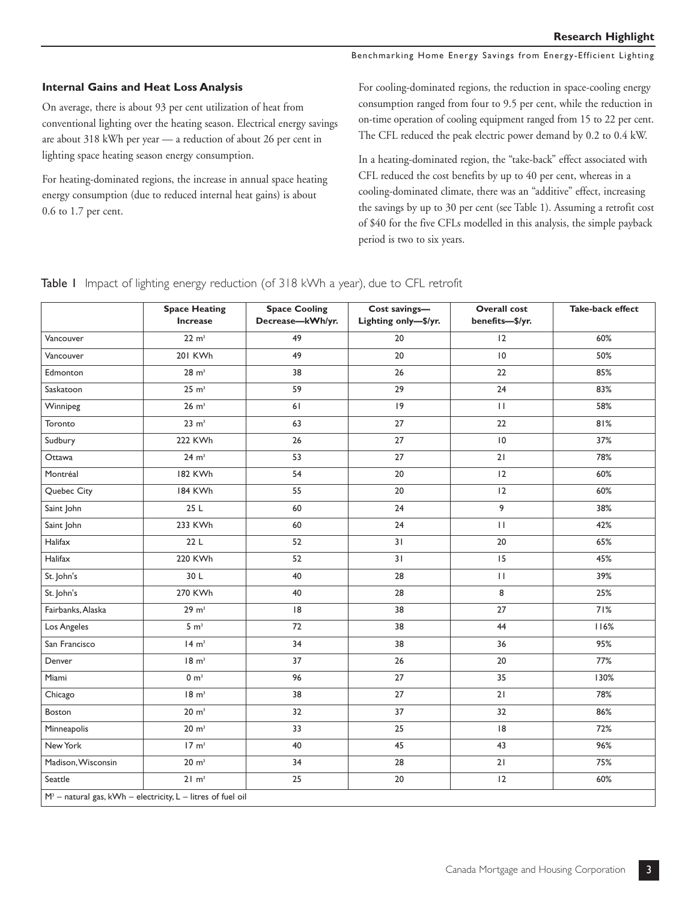Benchmarking Home Energy Savings from Energy-Efficient Lighting

#### **Internal Gains and Heat Loss Analysis**

On average, there is about 93 per cent utilization of heat from conventional lighting over the heating season. Electrical energy savings are about 318 kWh per year — a reduction of about 26 per cent in lighting space heating season energy consumption.

For heating-dominated regions, the increase in annual space heating energy consumption (due to reduced internal heat gains) is about 0.6 to 1.7 per cent.

For cooling-dominated regions, the reduction in space-cooling energy consumption ranged from four to 9.5 per cent, while the reduction in on-time operation of cooling equipment ranged from 15 to 22 per cent. The CFL reduced the peak electric power demand by 0.2 to 0.4 kW.

In a heating-dominated region, the "take-back" effect associated with CFL reduced the cost benefits by up to 40 per cent, whereas in a cooling-dominated climate, there was an "additive" effect, increasing the savings by up to 30 per cent (see Table 1). Assuming a retrofit cost of \$40 for the five CFLs modelled in this analysis, the simple payback period is two to six years.

Table I Impact of lighting energy reduction (of 318 kWh a year), due to CFL retrofit

|                                                                | <b>Space Heating</b><br>Increase | <b>Space Cooling</b><br>Decrease-kWh/yr. | Cost savings-<br>Lighting only-\$/yr. | <b>Overall cost</b><br>benefits-\$/yr. | Take-back effect |
|----------------------------------------------------------------|----------------------------------|------------------------------------------|---------------------------------------|----------------------------------------|------------------|
| Vancouver                                                      | 22 m <sup>3</sup>                | 49                                       | 20                                    | 12                                     | 60%              |
| Vancouver                                                      | 201 KWh                          | 49                                       | 20                                    | $\overline{10}$                        | 50%              |
| Edmonton                                                       | 28 m <sup>3</sup>                | 38                                       | 26                                    | 22                                     | 85%              |
| Saskatoon                                                      | 25 m <sup>3</sup>                | 59                                       | 29                                    | 24                                     | 83%              |
| Winnipeg                                                       | $26 \text{ m}^3$                 | 61                                       | 9                                     | $\mathbf{H}$                           | 58%              |
| Toronto                                                        | 23 m <sup>3</sup>                | 63                                       | 27                                    | 22                                     | 81%              |
| Sudbury                                                        | 222 KWh                          | 26                                       | 27                                    | $\overline{10}$                        | 37%              |
| Ottawa                                                         | $24 \text{ m}^3$                 | 53                                       | 27                                    | 21                                     | 78%              |
| Montréal                                                       | 182 KWh                          | 54                                       | 20                                    | 12                                     | 60%              |
| Quebec City                                                    | 184 KWh                          | 55                                       | 20                                    | 12                                     | 60%              |
| Saint John                                                     | 25 L                             | 60                                       | 24                                    | 9                                      | 38%              |
| Saint John                                                     | 233 KWh                          | 60                                       | 24                                    | $\mathbf{H}$                           | 42%              |
| Halifax                                                        | 22L                              | 52                                       | 31                                    | 20                                     | 65%              |
| Halifax                                                        | 220 KWh                          | 52                                       | 31                                    | 15                                     | 45%              |
| St. John's                                                     | 30 L                             | 40                                       | 28                                    | $\mathbf{H}$                           | 39%              |
| St. John's                                                     | 270 KWh                          | 40                                       | 28                                    | 8                                      | 25%              |
| Fairbanks, Alaska                                              | 29 m <sup>3</sup>                | 8                                        | 38                                    | 27                                     | 71%              |
| Los Angeles                                                    | 5 m <sup>3</sup>                 | 72                                       | 38                                    | 44                                     | 116%             |
| San Francisco                                                  | 14 m <sup>3</sup>                | 34                                       | 38                                    | 36                                     | 95%              |
| Denver                                                         | 18 m <sup>3</sup>                | 37                                       | 26                                    | 20                                     | 77%              |
| Miami                                                          | 0 m <sup>3</sup>                 | 96                                       | 27                                    | 35                                     | 130%             |
| Chicago                                                        | 18 m <sup>3</sup>                | 38                                       | 27                                    | 21                                     | 78%              |
| Boston                                                         | 20 m <sup>3</sup>                | 32                                       | 37                                    | 32                                     | 86%              |
| Minneapolis                                                    | $20 \text{ m}^3$                 | 33                                       | 25                                    | 8                                      | 72%              |
| New York                                                       | $17 \text{ m}^3$                 | 40                                       | 45                                    | 43                                     | 96%              |
| Madison, Wisconsin                                             | 20 m <sup>3</sup>                | 34                                       | 28                                    | 21                                     | 75%              |
| Seattle                                                        | $21 \text{ m}^3$                 | 25                                       | $20\,$                                | 12                                     | 60%              |
| $M^3$ – natural gas, kWh – electricity, L – litres of fuel oil |                                  |                                          |                                       |                                        |                  |